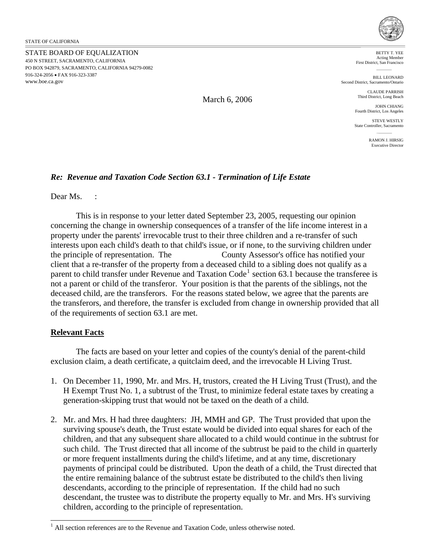STATE BOARD OF EQUALIZATION 450 N STREET, SACRAMENTO, CALIFORNIA PO BOX 942879, SACRAMENTO, CALIFORNIA 94279-0082 916-324-2056 • FAX 916-323-3387 <www.boe.ca.gov>



BETTY T. YEE Acting Member First District, San Francisco

BILL LEONARD Second District, Sacramento/Ontario

> CLAUDE PARRISH Third District, Long Beach

JOHN CHIANG Fourth District, Los Angeles

STEVE WESTLY State Controller, Sacramento

> RAMON L. HIRSIG Executive Director

## *Re: Revenue and Taxation Code Section 63.1 - Termination of Life Estate*

Dear Ms. :

This is in response to your letter dated September 23, 2005, requesting our opinion concerning the change in ownership consequences of a transfer of the life income interest in a property under the parents' irrevocable trust to their three children and a re-transfer of such interests upon each child's death to that child's issue, or if none, to the surviving children under the principle of representation. The County Assessor's office has notified your client that a re-transfer of the property from a deceased child to a sibling does not qualify as a parent to child transfer under Revenue and Taxation Code<sup>[1](#page-0-0)</sup> section 63.1 because the transferee is not a parent or child of the transferor. Your position is that the parents of the siblings, not the deceased child, are the transferors. For the reasons stated below, we agree that the parents are the transferors, and therefore, the transfer is excluded from change in ownership provided that all of the requirements of section 63.1 are met.

## **Relevant Facts**

 $\overline{a}$ 

The facts are based on your letter and copies of the county's denial of the parent-child exclusion claim, a death certificate, a quitclaim deed, and the irrevocable H Living Trust.

- 1. On December 11, 1990, Mr. and Mrs. H, trustors, created the H Living Trust (Trust), and the H Exempt Trust No. 1, a subtrust of the Trust, to minimize federal estate taxes by creating a generation-skipping trust that would not be taxed on the death of a child.
- 2. Mr. and Mrs. H had three daughters: JH, MMH and GP. The Trust provided that upon the surviving spouse's death, the Trust estate would be divided into equal shares for each of the children, and that any subsequent share allocated to a child would continue in the subtrust for such child. The Trust directed that all income of the subtrust be paid to the child in quarterly or more frequent installments during the child's lifetime, and at any time, discretionary payments of principal could be distributed. Upon the death of a child, the Trust directed that the entire remaining balance of the subtrust estate be distributed to the child's then living descendants, according to the principle of representation. If the child had no such descendant, the trustee was to distribute the property equally to Mr. and Mrs. H's surviving children, according to the principle of representation.

March 6, 2006

<span id="page-0-0"></span> $<sup>1</sup>$  All section references are to the Revenue and Taxation Code, unless otherwise noted.</sup>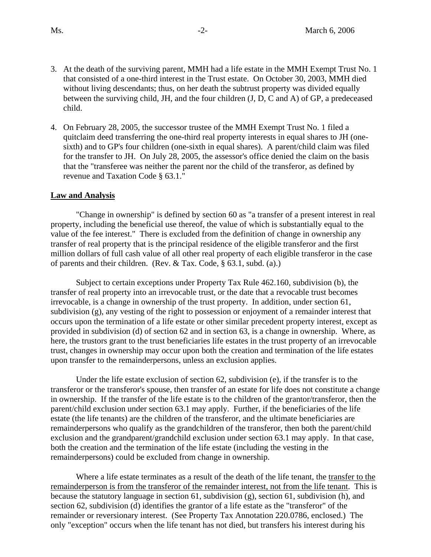- 3. At the death of the surviving parent, MMH had a life estate in the MMH Exempt Trust No. 1 that consisted of a one-third interest in the Trust estate. On October 30, 2003, MMH died without living descendants; thus, on her death the subtrust property was divided equally between the surviving child, JH, and the four children (J, D, C and A) of GP, a predeceased child.
- 4. On February 28, 2005, the successor trustee of the MMH Exempt Trust No. 1 filed a quitclaim deed transferring the one-third real property interests in equal shares to JH (onesixth) and to GP's four children (one-sixth in equal shares). A parent/child claim was filed for the transfer to JH. On July 28, 2005, the assessor's office denied the claim on the basis that the "transferee was neither the parent nor the child of the transferor, as defined by revenue and Taxation Code § 63.1."

## **Law and Analysis**

"Change in ownership" is defined by section 60 as "a transfer of a present interest in real property, including the beneficial use thereof, the value of which is substantially equal to the value of the fee interest." There is excluded from the definition of change in ownership any transfer of real property that is the principal residence of the eligible transferor and the first million dollars of full cash value of all other real property of each eligible transferor in the case of parents and their children. (Rev. & Tax. Code, § 63.1, subd. (a).)

Subject to certain exceptions under Property Tax Rule 462.160, subdivision (b), the transfer of real property into an irrevocable trust, or the date that a revocable trust becomes irrevocable, is a change in ownership of the trust property. In addition, under section 61, subdivision (g), any vesting of the right to possession or enjoyment of a remainder interest that occurs upon the termination of a life estate or other similar precedent property interest, except as provided in subdivision (d) of section 62 and in section 63, is a change in ownership. Where, as here, the trustors grant to the trust beneficiaries life estates in the trust property of an irrevocable trust, changes in ownership may occur upon both the creation and termination of the life estates upon transfer to the remainderpersons, unless an exclusion applies.

Under the life estate exclusion of section 62, subdivision (e), if the transfer is to the transferor or the transferor's spouse, then transfer of an estate for life does not constitute a change in ownership. If the transfer of the life estate is to the children of the grantor/transferor, then the parent/child exclusion under section 63.1 may apply. Further, if the beneficiaries of the life estate (the life tenants) are the children of the transferor, and the ultimate beneficiaries are remainderpersons who qualify as the grandchildren of the transferor, then both the parent/child exclusion and the grandparent/grandchild exclusion under section 63.1 may apply. In that case, both the creation and the termination of the life estate (including the vesting in the remainderpersons) could be excluded from change in ownership.

Where a life estate terminates as a result of the death of the life tenant, the transfer to the remainderperson is from the transferor of the remainder interest, not from the life tenant. This is because the statutory language in section 61, subdivision (g), section 61, subdivision (h), and section 62, subdivision (d) identifies the grantor of a life estate as the "transferor" of the remainder or reversionary interest. (See Property Tax Annotation 220.0786, enclosed.) The only "exception" occurs when the life tenant has not died, but transfers his interest during his